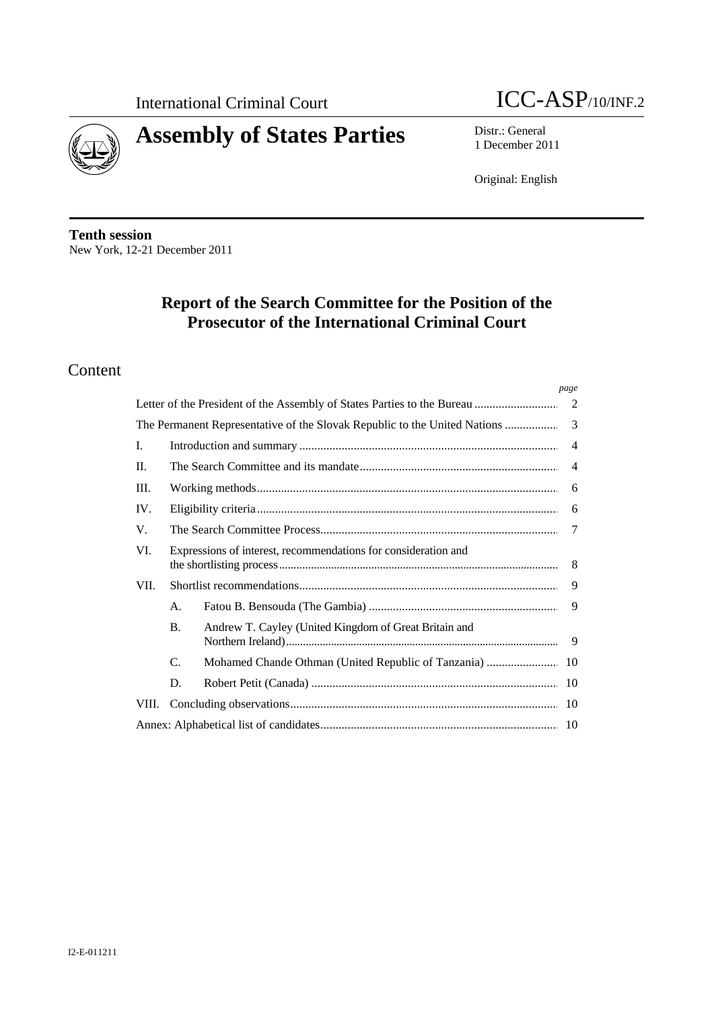



# **Assembly of States Parties** Distr.: General

1 December 2011

Original: English

**Tenth session**  New York, 12-21 December 2011

# **Report of the Search Committee for the Position of the Prosecutor of the International Criminal Court**

## Content

|       |                                                                |                                                                                                                    | page |  |
|-------|----------------------------------------------------------------|--------------------------------------------------------------------------------------------------------------------|------|--|
|       | -2                                                             |                                                                                                                    |      |  |
|       |                                                                | 3<br>The Permanent Representative of the Slovak Republic to the United Nations<br>$\overline{4}$<br>$\overline{4}$ |      |  |
| L.    |                                                                |                                                                                                                    |      |  |
| II.   |                                                                |                                                                                                                    |      |  |
| III.  | 6                                                              |                                                                                                                    |      |  |
| IV.   |                                                                |                                                                                                                    | 6    |  |
| V.    |                                                                |                                                                                                                    | 7    |  |
| VI.   | Expressions of interest, recommendations for consideration and |                                                                                                                    | 8    |  |
| VII.  |                                                                |                                                                                                                    | 9    |  |
|       | A.                                                             |                                                                                                                    | 9    |  |
|       | <b>B.</b>                                                      | Andrew T. Cayley (United Kingdom of Great Britain and                                                              |      |  |
|       | C.                                                             |                                                                                                                    |      |  |
|       | D.                                                             |                                                                                                                    | 10   |  |
| VIII. |                                                                |                                                                                                                    | 10   |  |
| 10    |                                                                |                                                                                                                    |      |  |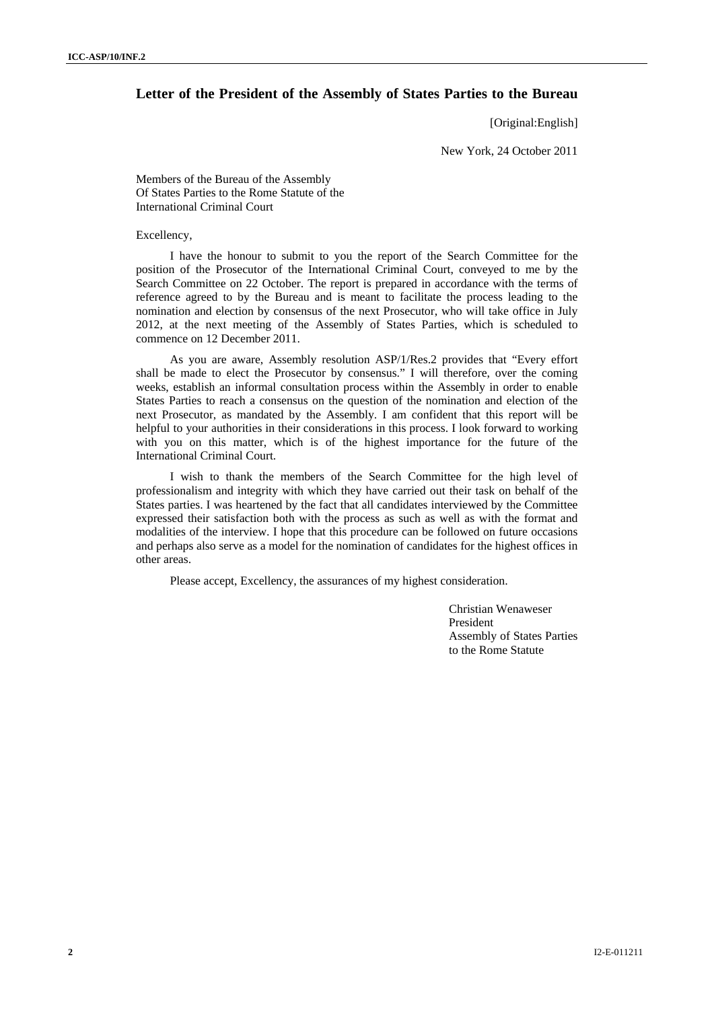#### **Letter of the President of the Assembly of States Parties to the Bureau**

[Original:English]

New York, 24 October 2011

Members of the Bureau of the Assembly Of States Parties to the Rome Statute of the International Criminal Court

#### Excellency,

I have the honour to submit to you the report of the Search Committee for the position of the Prosecutor of the International Criminal Court, conveyed to me by the Search Committee on 22 October. The report is prepared in accordance with the terms of reference agreed to by the Bureau and is meant to facilitate the process leading to the nomination and election by consensus of the next Prosecutor, who will take office in July 2012, at the next meeting of the Assembly of States Parties, which is scheduled to commence on 12 December 2011.

As you are aware, Assembly resolution ASP/1/Res.2 provides that "Every effort shall be made to elect the Prosecutor by consensus." I will therefore, over the coming weeks, establish an informal consultation process within the Assembly in order to enable States Parties to reach a consensus on the question of the nomination and election of the next Prosecutor, as mandated by the Assembly. I am confident that this report will be helpful to your authorities in their considerations in this process. I look forward to working with you on this matter, which is of the highest importance for the future of the International Criminal Court.

I wish to thank the members of the Search Committee for the high level of professionalism and integrity with which they have carried out their task on behalf of the States parties. I was heartened by the fact that all candidates interviewed by the Committee expressed their satisfaction both with the process as such as well as with the format and modalities of the interview. I hope that this procedure can be followed on future occasions and perhaps also serve as a model for the nomination of candidates for the highest offices in other areas.

Please accept, Excellency, the assurances of my highest consideration.

Christian Wenaweser President Assembly of States Parties to the Rome Statute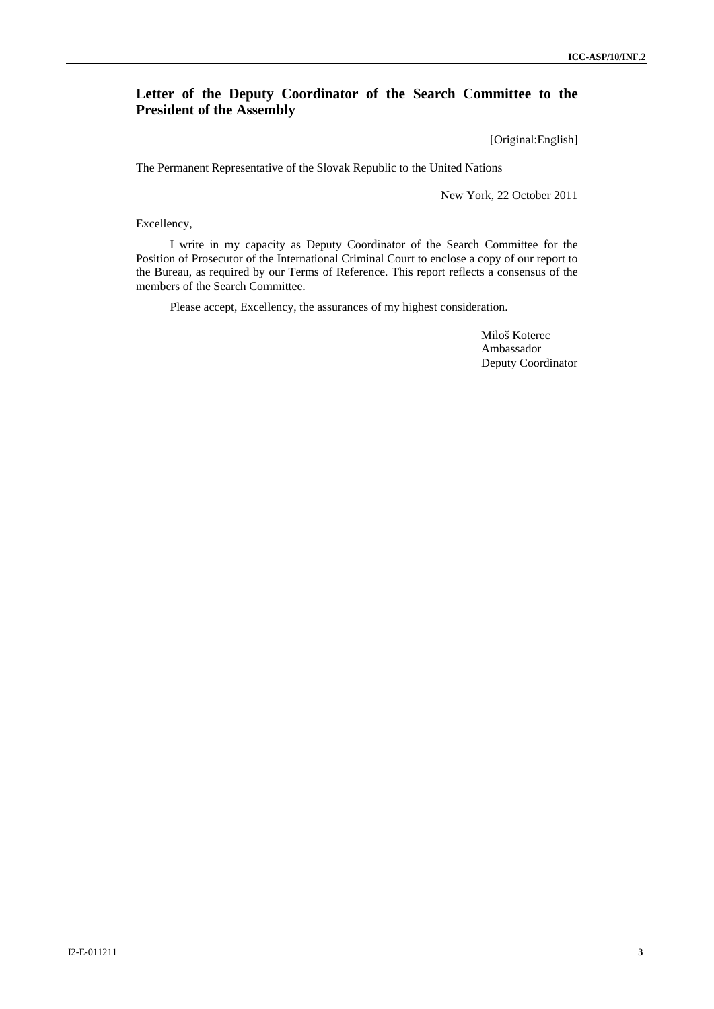## **Letter of the Deputy Coordinator of the Search Committee to the President of the Assembly**

[Original:English]

The Permanent Representative of the Slovak Republic to the United Nations

New York, 22 October 2011

#### Excellency,

I write in my capacity as Deputy Coordinator of the Search Committee for the Position of Prosecutor of the International Criminal Court to enclose a copy of our report to the Bureau, as required by our Terms of Reference. This report reflects a consensus of the members of the Search Committee.

Please accept, Excellency, the assurances of my highest consideration.

Miloš Koterec Ambassador Deputy Coordinator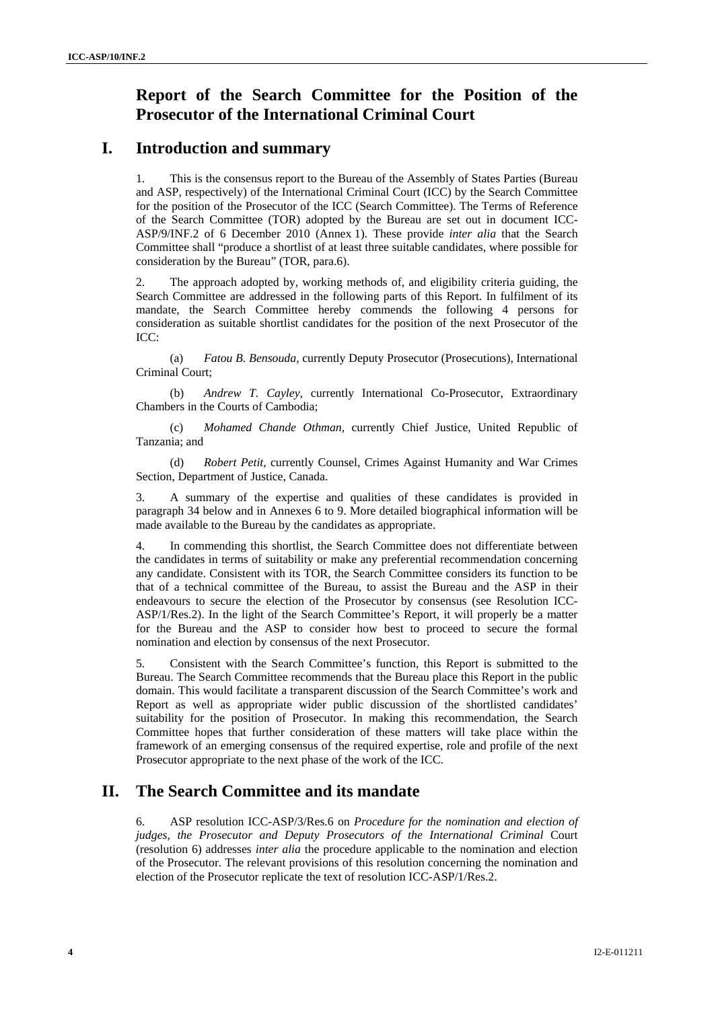# **Report of the Search Committee for the Position of the Prosecutor of the International Criminal Court**

## **I. Introduction and summary**

1. This is the consensus report to the Bureau of the Assembly of States Parties (Bureau and ASP, respectively) of the International Criminal Court (ICC) by the Search Committee for the position of the Prosecutor of the ICC (Search Committee). The Terms of Reference of the Search Committee (TOR) adopted by the Bureau are set out in document ICC-ASP/9/INF.2 of 6 December 2010 (Annex 1). These provide *inter alia* that the Search Committee shall "produce a shortlist of at least three suitable candidates, where possible for consideration by the Bureau" (TOR, para.6).

2. The approach adopted by, working methods of, and eligibility criteria guiding, the Search Committee are addressed in the following parts of this Report. In fulfilment of its mandate, the Search Committee hereby commends the following 4 persons for consideration as suitable shortlist candidates for the position of the next Prosecutor of the ICC:

(a) *Fatou B. Bensouda,* currently Deputy Prosecutor (Prosecutions), International Criminal Court;

(b) *Andrew T. Cayley,* currently International Co-Prosecutor, Extraordinary Chambers in the Courts of Cambodia;

(c) *Mohamed Chande Othman,* currently Chief Justice, United Republic of Tanzania; and

(d) *Robert Petit,* currently Counsel, Crimes Against Humanity and War Crimes Section, Department of Justice, Canada.

3. A summary of the expertise and qualities of these candidates is provided in paragraph 34 below and in Annexes 6 to 9. More detailed biographical information will be made available to the Bureau by the candidates as appropriate.

4. In commending this shortlist, the Search Committee does not differentiate between the candidates in terms of suitability or make any preferential recommendation concerning any candidate. Consistent with its TOR, the Search Committee considers its function to be that of a technical committee of the Bureau, to assist the Bureau and the ASP in their endeavours to secure the election of the Prosecutor by consensus (see Resolution ICC-ASP/1/Res.2). In the light of the Search Committee's Report, it will properly be a matter for the Bureau and the ASP to consider how best to proceed to secure the formal nomination and election by consensus of the next Prosecutor.

5. Consistent with the Search Committee's function, this Report is submitted to the Bureau. The Search Committee recommends that the Bureau place this Report in the public domain. This would facilitate a transparent discussion of the Search Committee's work and Report as well as appropriate wider public discussion of the shortlisted candidates' suitability for the position of Prosecutor. In making this recommendation, the Search Committee hopes that further consideration of these matters will take place within the framework of an emerging consensus of the required expertise, role and profile of the next Prosecutor appropriate to the next phase of the work of the ICC.

# **II. The Search Committee and its mandate**

6. ASP resolution ICC-ASP/3/Res.6 on *Procedure for the nomination and election of judges, the Prosecutor and Deputy Prosecutors of the International Criminal* Court (resolution 6) addresses *inter alia* the procedure applicable to the nomination and election of the Prosecutor. The relevant provisions of this resolution concerning the nomination and election of the Prosecutor replicate the text of resolution ICC-ASP/1/Res.2.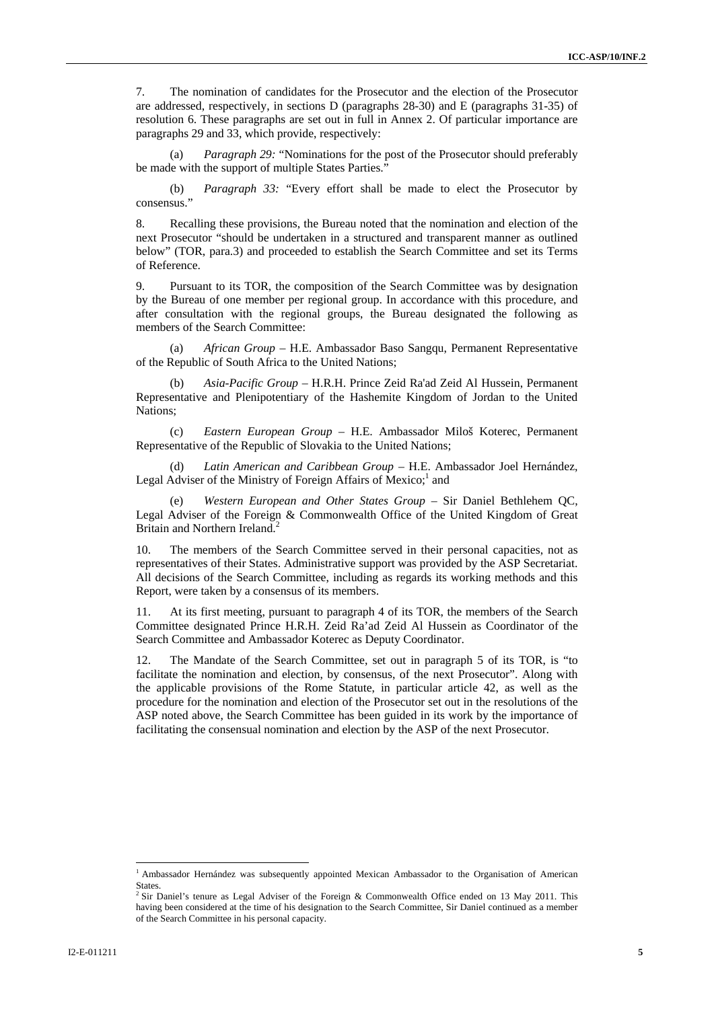7. The nomination of candidates for the Prosecutor and the election of the Prosecutor are addressed, respectively, in sections D (paragraphs 28-30) and E (paragraphs 31-35) of resolution 6. These paragraphs are set out in full in Annex 2. Of particular importance are paragraphs 29 and 33, which provide, respectively:

*Paragraph 29:* "Nominations for the post of the Prosecutor should preferably be made with the support of multiple States Parties."

(b) *Paragraph 33:* "Every effort shall be made to elect the Prosecutor by consensus."

8. Recalling these provisions, the Bureau noted that the nomination and election of the next Prosecutor "should be undertaken in a structured and transparent manner as outlined below" (TOR, para.3) and proceeded to establish the Search Committee and set its Terms of Reference.

9. Pursuant to its TOR, the composition of the Search Committee was by designation by the Bureau of one member per regional group. In accordance with this procedure, and after consultation with the regional groups, the Bureau designated the following as members of the Search Committee:

(a) *African Group* – H.E. Ambassador Baso Sangqu, Permanent Representative of the Republic of South Africa to the United Nations;

(b) *Asia-Pacific Group* – H.R.H. Prince Zeid Ra'ad Zeid Al Hussein, Permanent Representative and Plenipotentiary of the Hashemite Kingdom of Jordan to the United Nations;

(c) *Eastern European Group* – H.E. Ambassador Miloš Koterec, Permanent Representative of the Republic of Slovakia to the United Nations;

Latin American and Caribbean Group – H.E. Ambassador Joel Hernández, Legal Adviser of the Ministry of Foreign Affairs of Mexico;<sup>1</sup> and

Western European and Other States Group – Sir Daniel Bethlehem QC, Legal Adviser of the Foreign & Commonwealth Office of the United Kingdom of Great Britain and Northern Ireland.<sup>2</sup>

10. The members of the Search Committee served in their personal capacities, not as representatives of their States. Administrative support was provided by the ASP Secretariat. All decisions of the Search Committee, including as regards its working methods and this Report, were taken by a consensus of its members.

11. At its first meeting, pursuant to paragraph 4 of its TOR, the members of the Search Committee designated Prince H.R.H. Zeid Ra'ad Zeid Al Hussein as Coordinator of the Search Committee and Ambassador Koterec as Deputy Coordinator.

12. The Mandate of the Search Committee, set out in paragraph 5 of its TOR, is "to facilitate the nomination and election, by consensus, of the next Prosecutor". Along with the applicable provisions of the Rome Statute, in particular article 42, as well as the procedure for the nomination and election of the Prosecutor set out in the resolutions of the ASP noted above, the Search Committee has been guided in its work by the importance of facilitating the consensual nomination and election by the ASP of the next Prosecutor.

l

<sup>&</sup>lt;sup>1</sup> Ambassador Hernández was subsequently appointed Mexican Ambassador to the Organisation of American States.

<sup>&</sup>lt;sup>2</sup> Sir Daniel's tenure as Legal Adviser of the Foreign & Commonwealth Office ended on 13 May 2011. This having been considered at the time of his designation to the Search Committee, Sir Daniel continued as a member of the Search Committee in his personal capacity.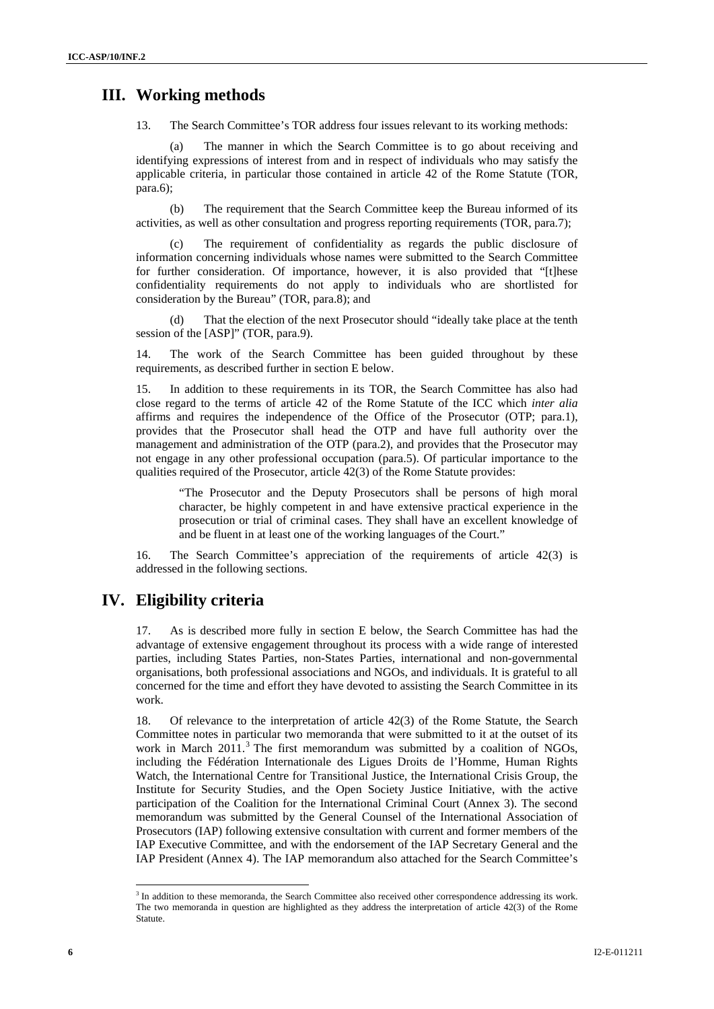#### **III. Working methods**

13. The Search Committee's TOR address four issues relevant to its working methods:

(a) The manner in which the Search Committee is to go about receiving and identifying expressions of interest from and in respect of individuals who may satisfy the applicable criteria, in particular those contained in article 42 of the Rome Statute (TOR, para.6);

(b) The requirement that the Search Committee keep the Bureau informed of its activities, as well as other consultation and progress reporting requirements (TOR, para.7);

(c) The requirement of confidentiality as regards the public disclosure of information concerning individuals whose names were submitted to the Search Committee for further consideration. Of importance, however, it is also provided that "[t]hese confidentiality requirements do not apply to individuals who are shortlisted for consideration by the Bureau" (TOR, para.8); and

That the election of the next Prosecutor should "ideally take place at the tenth session of the [ASP]" (TOR, para.9).

14. The work of the Search Committee has been guided throughout by these requirements, as described further in section E below.

15. In addition to these requirements in its TOR, the Search Committee has also had close regard to the terms of article 42 of the Rome Statute of the ICC which *inter alia* affirms and requires the independence of the Office of the Prosecutor (OTP; para.1), provides that the Prosecutor shall head the OTP and have full authority over the management and administration of the OTP (para.2), and provides that the Prosecutor may not engage in any other professional occupation (para.5). Of particular importance to the qualities required of the Prosecutor, article 42(3) of the Rome Statute provides:

"The Prosecutor and the Deputy Prosecutors shall be persons of high moral character, be highly competent in and have extensive practical experience in the prosecution or trial of criminal cases. They shall have an excellent knowledge of and be fluent in at least one of the working languages of the Court."

16. The Search Committee's appreciation of the requirements of article 42(3) is addressed in the following sections.

#### **IV. Eligibility criteria**

17. As is described more fully in section E below, the Search Committee has had the advantage of extensive engagement throughout its process with a wide range of interested parties, including States Parties, non-States Parties, international and non-governmental organisations, both professional associations and NGOs, and individuals. It is grateful to all concerned for the time and effort they have devoted to assisting the Search Committee in its work.

18. Of relevance to the interpretation of article 42(3) of the Rome Statute, the Search Committee notes in particular two memoranda that were submitted to it at the outset of its work in March  $2011$ .<sup>3</sup> The first memorandum was submitted by a coalition of NGOs, including the Fédération Internationale des Ligues Droits de l'Homme, Human Rights Watch, the International Centre for Transitional Justice, the International Crisis Group, the Institute for Security Studies, and the Open Society Justice Initiative, with the active participation of the Coalition for the International Criminal Court (Annex 3). The second memorandum was submitted by the General Counsel of the International Association of Prosecutors (IAP) following extensive consultation with current and former members of the IAP Executive Committee, and with the endorsement of the IAP Secretary General and the IAP President (Annex 4). The IAP memorandum also attached for the Search Committee's

l

<sup>&</sup>lt;sup>3</sup> In addition to these memoranda, the Search Committee also received other correspondence addressing its work. The two memoranda in question are highlighted as they address the interpretation of article 42(3) of the Rome Statute.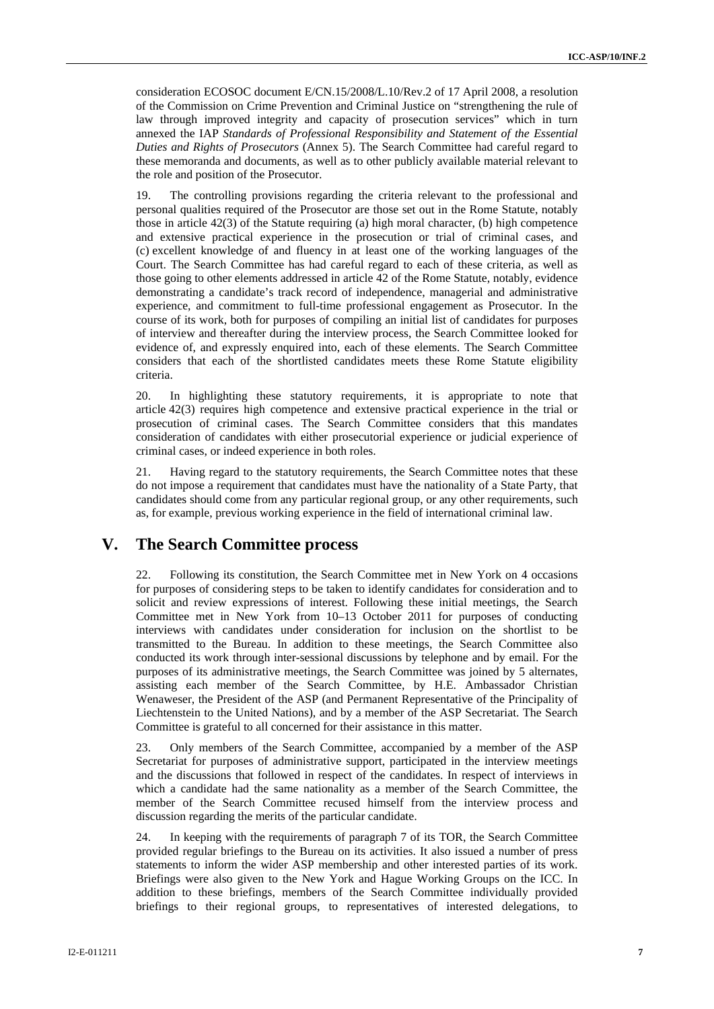consideration ECOSOC document E/CN.15/2008/L.10/Rev.2 of 17 April 2008, a resolution of the Commission on Crime Prevention and Criminal Justice on "strengthening the rule of law through improved integrity and capacity of prosecution services" which in turn annexed the IAP *Standards of Professional Responsibility and Statement of the Essential Duties and Rights of Prosecutors* (Annex 5). The Search Committee had careful regard to these memoranda and documents, as well as to other publicly available material relevant to the role and position of the Prosecutor.

19. The controlling provisions regarding the criteria relevant to the professional and personal qualities required of the Prosecutor are those set out in the Rome Statute, notably those in article 42(3) of the Statute requiring (a) high moral character, (b) high competence and extensive practical experience in the prosecution or trial of criminal cases, and (c) excellent knowledge of and fluency in at least one of the working languages of the Court. The Search Committee has had careful regard to each of these criteria, as well as those going to other elements addressed in article 42 of the Rome Statute, notably, evidence demonstrating a candidate's track record of independence, managerial and administrative experience, and commitment to full-time professional engagement as Prosecutor. In the course of its work, both for purposes of compiling an initial list of candidates for purposes of interview and thereafter during the interview process, the Search Committee looked for evidence of, and expressly enquired into, each of these elements. The Search Committee considers that each of the shortlisted candidates meets these Rome Statute eligibility criteria.

20. In highlighting these statutory requirements, it is appropriate to note that article 42(3) requires high competence and extensive practical experience in the trial or prosecution of criminal cases. The Search Committee considers that this mandates consideration of candidates with either prosecutorial experience or judicial experience of criminal cases, or indeed experience in both roles.

21. Having regard to the statutory requirements, the Search Committee notes that these do not impose a requirement that candidates must have the nationality of a State Party, that candidates should come from any particular regional group, or any other requirements, such as, for example, previous working experience in the field of international criminal law.

## **V. The Search Committee process**

22. Following its constitution, the Search Committee met in New York on 4 occasions for purposes of considering steps to be taken to identify candidates for consideration and to solicit and review expressions of interest. Following these initial meetings, the Search Committee met in New York from 10–13 October 2011 for purposes of conducting interviews with candidates under consideration for inclusion on the shortlist to be transmitted to the Bureau. In addition to these meetings, the Search Committee also conducted its work through inter-sessional discussions by telephone and by email. For the purposes of its administrative meetings, the Search Committee was joined by 5 alternates, assisting each member of the Search Committee, by H.E. Ambassador Christian Wenaweser, the President of the ASP (and Permanent Representative of the Principality of Liechtenstein to the United Nations), and by a member of the ASP Secretariat. The Search Committee is grateful to all concerned for their assistance in this matter.

23. Only members of the Search Committee, accompanied by a member of the ASP Secretariat for purposes of administrative support, participated in the interview meetings and the discussions that followed in respect of the candidates. In respect of interviews in which a candidate had the same nationality as a member of the Search Committee, the member of the Search Committee recused himself from the interview process and discussion regarding the merits of the particular candidate.

24. In keeping with the requirements of paragraph 7 of its TOR, the Search Committee provided regular briefings to the Bureau on its activities. It also issued a number of press statements to inform the wider ASP membership and other interested parties of its work. Briefings were also given to the New York and Hague Working Groups on the ICC. In addition to these briefings, members of the Search Committee individually provided briefings to their regional groups, to representatives of interested delegations, to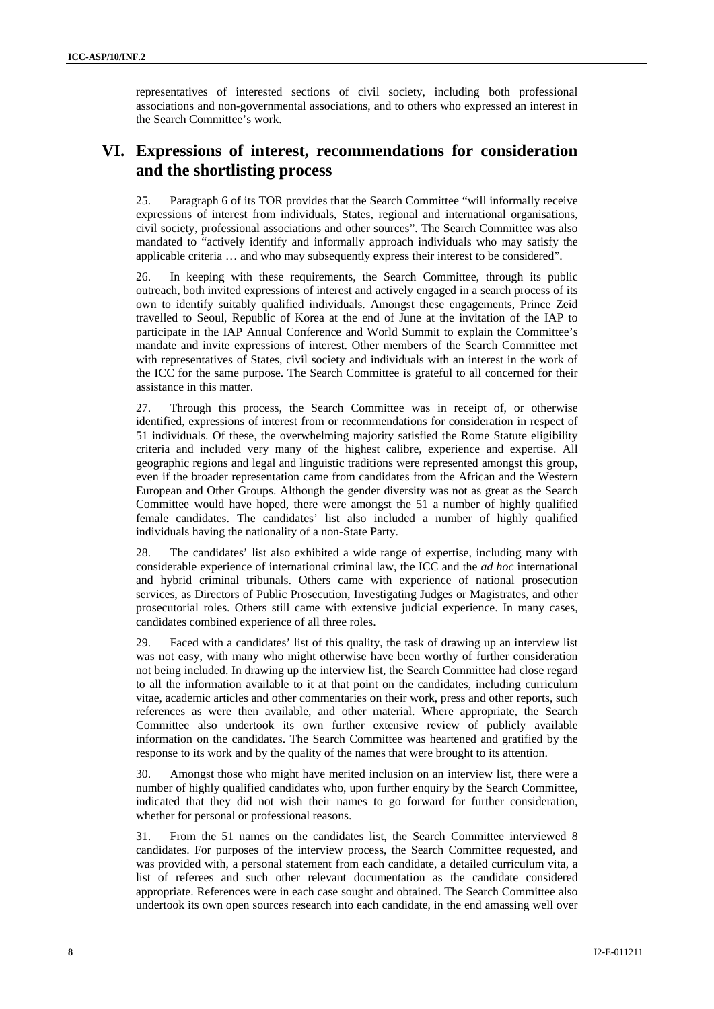representatives of interested sections of civil society, including both professional associations and non-governmental associations, and to others who expressed an interest in the Search Committee's work.

# **VI. Expressions of interest, recommendations for consideration and the shortlisting process**

25. Paragraph 6 of its TOR provides that the Search Committee "will informally receive expressions of interest from individuals, States, regional and international organisations, civil society, professional associations and other sources". The Search Committee was also mandated to "actively identify and informally approach individuals who may satisfy the applicable criteria … and who may subsequently express their interest to be considered".

26. In keeping with these requirements, the Search Committee, through its public outreach, both invited expressions of interest and actively engaged in a search process of its own to identify suitably qualified individuals. Amongst these engagements, Prince Zeid travelled to Seoul, Republic of Korea at the end of June at the invitation of the IAP to participate in the IAP Annual Conference and World Summit to explain the Committee's mandate and invite expressions of interest. Other members of the Search Committee met with representatives of States, civil society and individuals with an interest in the work of the ICC for the same purpose. The Search Committee is grateful to all concerned for their assistance in this matter.

27. Through this process, the Search Committee was in receipt of, or otherwise identified, expressions of interest from or recommendations for consideration in respect of 51 individuals. Of these, the overwhelming majority satisfied the Rome Statute eligibility criteria and included very many of the highest calibre, experience and expertise. All geographic regions and legal and linguistic traditions were represented amongst this group, even if the broader representation came from candidates from the African and the Western European and Other Groups. Although the gender diversity was not as great as the Search Committee would have hoped, there were amongst the 51 a number of highly qualified female candidates. The candidates' list also included a number of highly qualified individuals having the nationality of a non-State Party.

28. The candidates' list also exhibited a wide range of expertise, including many with considerable experience of international criminal law, the ICC and the *ad hoc* international and hybrid criminal tribunals. Others came with experience of national prosecution services, as Directors of Public Prosecution, Investigating Judges or Magistrates, and other prosecutorial roles. Others still came with extensive judicial experience. In many cases, candidates combined experience of all three roles.

29. Faced with a candidates' list of this quality, the task of drawing up an interview list was not easy, with many who might otherwise have been worthy of further consideration not being included. In drawing up the interview list, the Search Committee had close regard to all the information available to it at that point on the candidates, including curriculum vitae, academic articles and other commentaries on their work, press and other reports, such references as were then available, and other material. Where appropriate, the Search Committee also undertook its own further extensive review of publicly available information on the candidates. The Search Committee was heartened and gratified by the response to its work and by the quality of the names that were brought to its attention.

30. Amongst those who might have merited inclusion on an interview list, there were a number of highly qualified candidates who, upon further enquiry by the Search Committee, indicated that they did not wish their names to go forward for further consideration, whether for personal or professional reasons.

31. From the 51 names on the candidates list, the Search Committee interviewed 8 candidates. For purposes of the interview process, the Search Committee requested, and was provided with, a personal statement from each candidate, a detailed curriculum vita, a list of referees and such other relevant documentation as the candidate considered appropriate. References were in each case sought and obtained. The Search Committee also undertook its own open sources research into each candidate, in the end amassing well over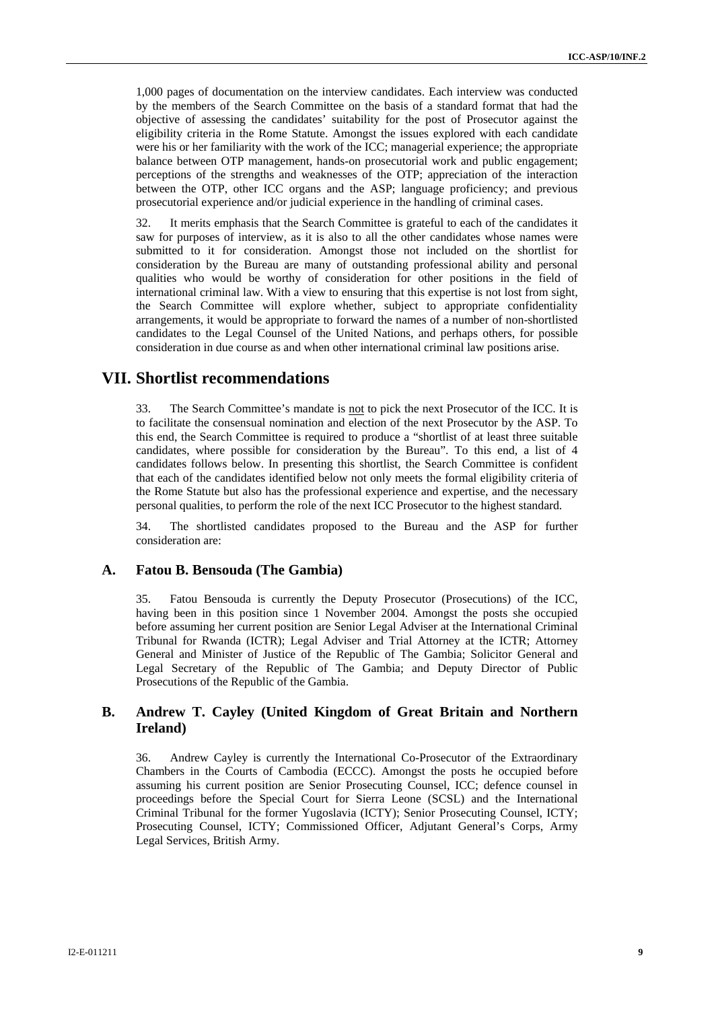1,000 pages of documentation on the interview candidates. Each interview was conducted by the members of the Search Committee on the basis of a standard format that had the objective of assessing the candidates' suitability for the post of Prosecutor against the eligibility criteria in the Rome Statute. Amongst the issues explored with each candidate were his or her familiarity with the work of the ICC; managerial experience; the appropriate balance between OTP management, hands-on prosecutorial work and public engagement; perceptions of the strengths and weaknesses of the OTP; appreciation of the interaction between the OTP, other ICC organs and the ASP; language proficiency; and previous prosecutorial experience and/or judicial experience in the handling of criminal cases.

32. It merits emphasis that the Search Committee is grateful to each of the candidates it saw for purposes of interview, as it is also to all the other candidates whose names were submitted to it for consideration. Amongst those not included on the shortlist for consideration by the Bureau are many of outstanding professional ability and personal qualities who would be worthy of consideration for other positions in the field of international criminal law. With a view to ensuring that this expertise is not lost from sight, the Search Committee will explore whether, subject to appropriate confidentiality arrangements, it would be appropriate to forward the names of a number of non-shortlisted candidates to the Legal Counsel of the United Nations, and perhaps others, for possible consideration in due course as and when other international criminal law positions arise.

#### **VII. Shortlist recommendations**

33. The Search Committee's mandate is not to pick the next Prosecutor of the ICC. It is to facilitate the consensual nomination and election of the next Prosecutor by the ASP. To this end, the Search Committee is required to produce a "shortlist of at least three suitable candidates, where possible for consideration by the Bureau". To this end, a list of 4 candidates follows below. In presenting this shortlist, the Search Committee is confident that each of the candidates identified below not only meets the formal eligibility criteria of the Rome Statute but also has the professional experience and expertise, and the necessary personal qualities, to perform the role of the next ICC Prosecutor to the highest standard.

34. The shortlisted candidates proposed to the Bureau and the ASP for further consideration are:

#### **A. Fatou B. Bensouda (The Gambia)**

35. Fatou Bensouda is currently the Deputy Prosecutor (Prosecutions) of the ICC, having been in this position since 1 November 2004. Amongst the posts she occupied before assuming her current position are Senior Legal Adviser at the International Criminal Tribunal for Rwanda (ICTR); Legal Adviser and Trial Attorney at the ICTR; Attorney General and Minister of Justice of the Republic of The Gambia; Solicitor General and Legal Secretary of the Republic of The Gambia; and Deputy Director of Public Prosecutions of the Republic of the Gambia.

#### **B. Andrew T. Cayley (United Kingdom of Great Britain and Northern Ireland)**

36. Andrew Cayley is currently the International Co-Prosecutor of the Extraordinary Chambers in the Courts of Cambodia (ECCC). Amongst the posts he occupied before assuming his current position are Senior Prosecuting Counsel, ICC; defence counsel in proceedings before the Special Court for Sierra Leone (SCSL) and the International Criminal Tribunal for the former Yugoslavia (ICTY); Senior Prosecuting Counsel, ICTY; Prosecuting Counsel, ICTY; Commissioned Officer, Adjutant General's Corps, Army Legal Services, British Army.